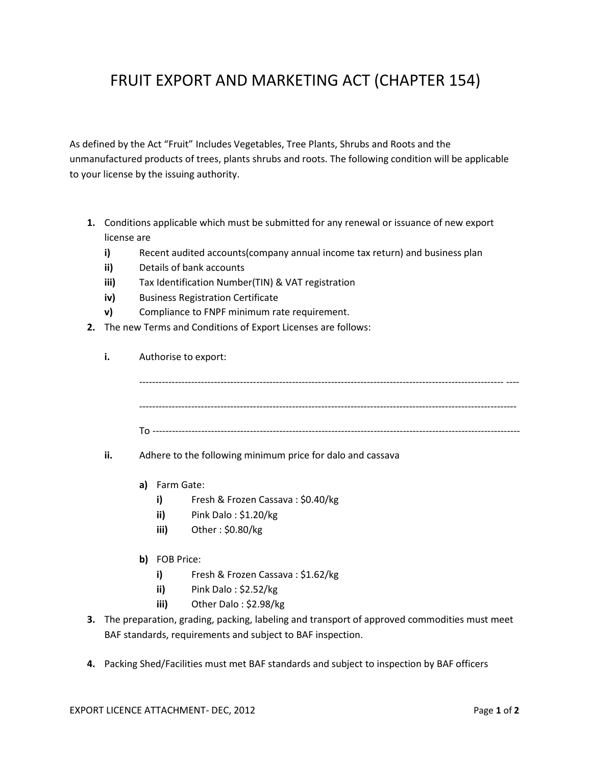## FRUIT EXPORT AND MARKETING ACT (CHAPTER 154)

As defined by the Act "Fruit" Includes Vegetables, Tree Plants, Shrubs and Roots and the unmanufactured products of trees, plants shrubs and roots. The following condition will be applicable to your license by the issuing authority.

- **1.** Conditions applicable which must be submitted for any renewal or issuance of new export license are
	- **i)** Recent audited accounts(company annual income tax return) and business plan
	- **ii)** Details of bank accounts
	- **iii)** Tax Identification Number(TIN) & VAT registration
	- **iv)** Business Registration Certificate
	- **v)** Compliance to FNPF minimum rate requirement.
- **2.** The new Terms and Conditions of Export Licenses are follows:

| i.                                                                                             | Authorise to export: |               |                                                            |  |
|------------------------------------------------------------------------------------------------|----------------------|---------------|------------------------------------------------------------|--|
|                                                                                                |                      |               |                                                            |  |
|                                                                                                |                      |               |                                                            |  |
| ii.                                                                                            |                      |               | Adhere to the following minimum price for dalo and cassava |  |
|                                                                                                |                      | a) Farm Gate: |                                                            |  |
|                                                                                                |                      | i)            | Fresh & Frozen Cassava: \$0.40/kg                          |  |
|                                                                                                |                      | ii)           | Pink Dalo: \$1.20/kg                                       |  |
|                                                                                                |                      | iii)          | Other: \$0.80/kg                                           |  |
|                                                                                                |                      | b) FOB Price: |                                                            |  |
|                                                                                                |                      | i)            | Fresh & Frozen Cassava: \$1.62/kg                          |  |
|                                                                                                |                      | ii)           | Pink Dalo: \$2.52/kg                                       |  |
|                                                                                                |                      | iii)          | Other Dalo: \$2.98/kg                                      |  |
| 3. The preparation, grading, packing, labeling and transport of approved commodities must meet |                      |               |                                                            |  |

- BAF standards, requirements and subject to BAF inspection.
- **4.** Packing Shed/Facilities must met BAF standards and subject to inspection by BAF officers